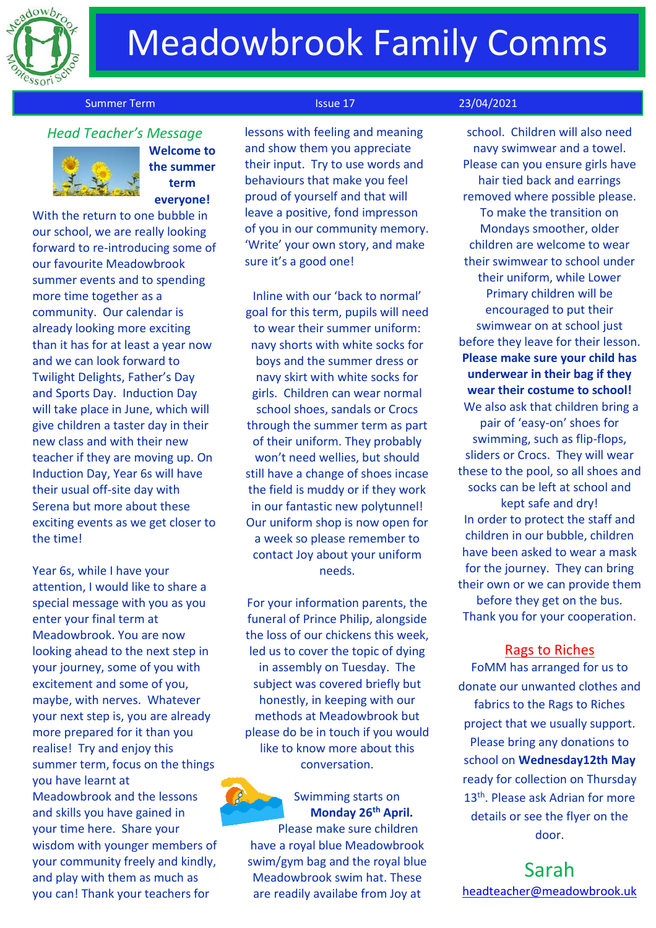

## **Meadowbrook Family Comms**

#### Summer Term Issue 17 23/04/2021

### *Head Teacher's Message*



**Welcome to the summer term everyone!**

With the return to one bubble in our school, we are really looking forward to re-introducing some of our favourite Meadowbrook summer events and to spending more time together as a community. Our calendar is already looking more exciting than it has for at least a year now and we can look forward to Twilight Delights, Father's Day and Sports Day. Induction Day will take place in June, which will give children a taster day in their new class and with their new teacher if they are moving up. On Induction Day, Year 6s will have their usual off-site day with Serena but more about these exciting events as we get closer to the time!

Year 6s, while I have your attention, I would like to share a special message with you as you enter your final term at Meadowbrook. You are now looking ahead to the next step in your journey, some of you with excitement and some of you, maybe, with nerves. Whatever your next step is, you are already more prepared for it than you realise! Try and enjoy this summer term, focus on the things you have learnt at Meadowbrook and the lessons and skills you have gained in your time here. Share your wisdom with younger members of your community freely and kindly, and play with them as much as you can! Thank your teachers for

lessons with feeling and meaning and show them you appreciate their input. Try to use words and behaviours that make you feel proud of yourself and that will leave a positive, fond impresson of you in our community memory. 'Write' your own story, and make sure it's a good one!

Inline with our 'back to normal' goal for this term, pupils will need to wear their summer uniform: navy shorts with white socks for boys and the summer dress or navy skirt with white socks for girls. Children can wear normal school shoes, sandals or Crocs through the summer term as part of their uniform. They probably won't need wellies, but should still have a change of shoes incase the field is muddy or if they work in our fantastic new polytunnel! Our uniform shop is now open for a week so please remember to contact Joy about your uniform needs.

For your information parents, the funeral of Prince Philip, alongside the loss of our chickens this week, led us to cover the topic of dying in assembly on Tuesday. The subject was covered briefly but honestly, in keeping with our methods at Meadowbrook but please do be in touch if you would like to know more about this conversation.



Please make sure children have a royal blue Meadowbrook swim/gym bag and the royal blue Meadowbrook swim hat. These are readily availabe from Joy at

school. Children will also need navy swimwear and a towel. Please can you ensure girls have hair tied back and earrings removed where possible please. To make the transition on Mondays smoother, older children are welcome to wear their swimwear to school under their uniform, while Lower Primary children will be encouraged to put their swimwear on at school just before they leave for their lesson. **Please make sure your child has underwear in their bag if they wear their costume to school!** We also ask that children bring a pair of 'easy-on' shoes for swimming, such as flip-flops, sliders or Crocs. They will wear these to the pool, so all shoes and socks can be left at school and kept safe and dry! In order to protect the staff and children in our bubble, children have been asked to wear a mask for the journey. They can bring their own or we can provide them before they get on the bus. Thank you for your cooperation.

#### Rags to Riches

FoMM has arranged for us to donate our unwanted clothes and fabrics to the Rags to Riches project that we usually support. Please bring any donations to school on **Wednesday12th May** ready for collection on Thursday 13<sup>th</sup>. Please ask Adrian for more details or see the flyer on the door.

### Sarah

[headteacher@meadowbrook.uk](mailto:headteacher@meadowbrook.uk)